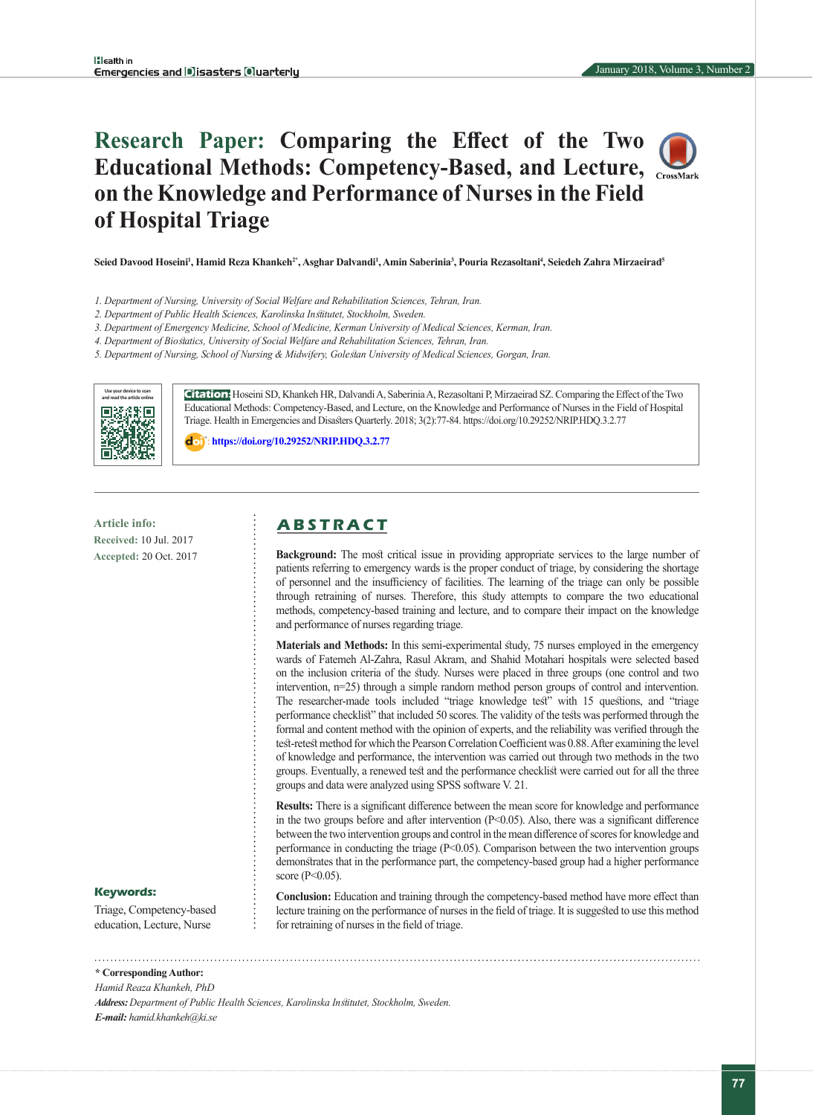# **Research Paper: Comparing the Effect of the Two Educational Methods: Competency-Based, and Lecture, on the Knowledge and Performance of Nurses in the Field of Hospital Triage**

**Seied Davood Hoseini<sup>1</sup> , Hamid Reza Khankeh2\*, Asghar Dalvandi1 , Amin Saberinia3 , Pouria Rezasoltani<sup>4</sup> , Seiedeh Zahra Mirzaeirad<sup>5</sup>**

- *1. Department of Nursing, University of Social Welfare and Rehabilitation Sciences, Tehran, Iran.*
- *2. Department of Public Health Sciences, Karolinska Institutet, Stockholm, Sweden.*
- *3. Department of Emergency Medicine, School of Medicine, Kerman University of Medical Sciences, Kerman, Iran.*
- *4. Department of Biostatics, University of Social Welfare and Rehabilitation Sciences, Tehran, Iran.*

*5. Department of Nursing, School of Nursing & Midwifery, Golestan University of Medical Sciences, Gorgan, Iran.*



**Citation:** Hoseini SD, Khankeh HR, Dalvandi A, Saberinia A, Rezasoltani P, Mirzaeirad SZ. Comparing the Effect of the Two Educational Methods: Competency-Based, and Lecture, on the Knowledge and Performance of Nurses in the Field of Hospital Triage. Health in Emergencies and Disasters Quarterly. 2018; 3(2):77-84. https://doi.org/10.29252/NRIP.HDQ.3.2.77

: **<https://doi.org/10.29252/NRIP.HDQ.3.2.77>**

**Received:** 10 Jul. 2017 **Accepted:** 20 Oct. 2017

# **Article info: A B S T R A C T**

**Background:** The most critical issue in providing appropriate services to the large number of patients referring to emergency wards is the proper conduct of triage, by considering the shortage of personnel and the insufficiency of facilities. The learning of the triage can only be possible through retraining of nurses. Therefore, this study attempts to compare the two educational methods, competency-based training and lecture, and to compare their impact on the knowledge and performance of nurses regarding triage.

**Materials and Methods:** In this semi-experimental study, 75 nurses employed in the emergency wards of Fatemeh Al-Zahra, Rasul Akram, and Shahid Motahari hospitals were selected based on the inclusion criteria of the study. Nurses were placed in three groups (one control and two intervention, n=25) through a simple random method person groups of control and intervention. The researcher-made tools included "triage knowledge test" with 15 questions, and "triage performance checklist" that included 50 scores. The validity of the tests was performed through the formal and content method with the opinion of experts, and the reliability was verified through the test-retest method for which the Pearson Correlation Coefficient was 0.88. After examining the level of knowledge and performance, the intervention was carried out through two methods in the two groups. Eventually, a renewed test and the performance checklist were carried out for all the three groups and data were analyzed using SPSS software V. 21.

**Results:** There is a significant difference between the mean score for knowledge and performance in the two groups before and after intervention (P<0.05). Also, there was a significant difference between the two intervention groups and control in the mean difference of scores for knowledge and performance in conducting the triage (P<0.05). Comparison between the two intervention groups demonstrates that in the performance part, the competency-based group had a higher performance score (P<0.05).

#### **Keywords:**

Triage, Competency-based education, Lecture, Nurse

**Conclusion:** Education and training through the competency-based method have more effect than lecture training on the performance of nurses in the field of triage. It is suggested to use this method for retraining of nurses in the field of triage.

**\* Corresponding Author:**

*Hamid Reaza Khankeh, PhD*

*Address: Department of Public Health Sciences, Karolinska Institutet, Stockholm, Sweden. E-mail: hamid.khankeh@ki.se*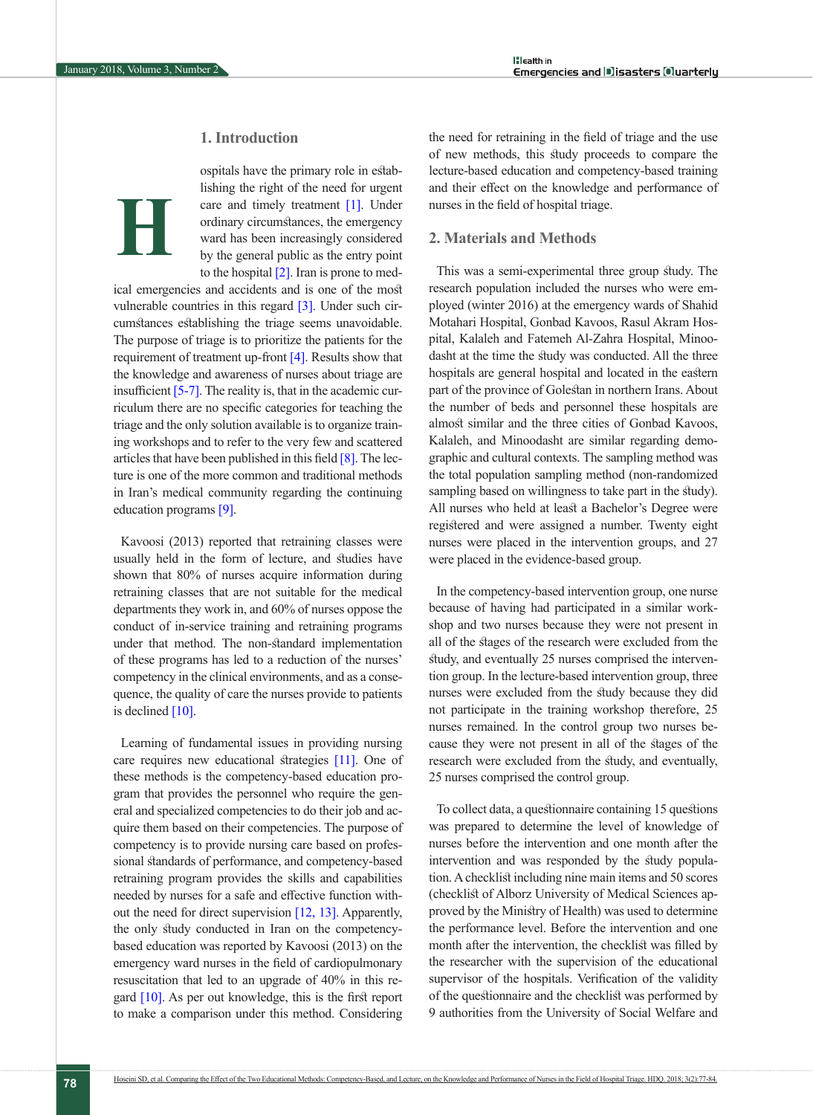# **1. Introduction**

# **H**

ospitals have the primary role in establishing the right of the need for urgent care and timely treatment [\[1\].](#page-5-0) Under ordinary circumstances, the emergency ward has been increasingly considered by the general public as the entry point to the hospital  $[2]$ . Iran is prone to med-

ical emergencies and accidents and is one of the most vulnerable countries in this regard [3]. Under such circumstances establishing the triage seems unavoidable. The purpose of triage is to prioritize the patients for the requirement of treatment up-front [\[4\].](#page-5-2) Results show that the knowledge and awareness of nurses about triage are insufficient  $[5-7]$ . The reality is, that in the academic curriculum there are no specific categories for teaching the triage and the only solution available is to organize training workshops and to refer to the very few and scattered articles that have been published in this field [\[8\]](#page-5-4). The lecture is one of the more common and traditional methods in Iran's medical community regarding the continuing education programs [\[9\]](#page-6-0).

Kavoosi (2013) reported that retraining classes were usually held in the form of lecture, and studies have shown that 80% of nurses acquire information during retraining classes that are not suitable for the medical departments they work in, and 60% of nurses oppose the conduct of in-service training and retraining programs under that method. The non-standard implementation of these programs has led to a reduction of the nurses' competency in the clinical environments, and as a consequence, the quality of care the nurses provide to patients is declined  $[10]$ .

Learning of fundamental issues in providing nursing care requires new educational strategies [\[11\]](#page-6-2). One of these methods is the competency-based education program that provides the personnel who require the general and specialized competencies to do their job and acquire them based on their competencies. The purpose of competency is to provide nursing care based on professional standards of performance, and competency-based retraining program provides the skills and capabilities needed by nurses for a safe and effective function without the need for direct supervision [\[12,](#page-6-3) [13\]](#page-6-4). Apparently, the only study conducted in Iran on the competencybased education was reported by Kavoosi (2013) on the emergency ward nurses in the field of cardiopulmonary resuscitation that led to an upgrade of 40% in this re-gard [\[10\]](#page-6-1). As per out knowledge, this is the first report to make a comparison under this method. Considering the need for retraining in the field of triage and the use of new methods, this study proceeds to compare the lecture-based education and competency-based training and their effect on the knowledge and performance of nurses in the field of hospital triage.

#### **2. Materials and Methods**

This was a semi-experimental three group study. The research population included the nurses who were employed (winter 2016) at the emergency wards of Shahid Motahari Hospital, Gonbad Kavoos, Rasul Akram Hospital, Kalaleh and Fatemeh Al-Zahra Hospital, Minoodasht at the time the study was conducted. All the three hospitals are general hospital and located in the eastern part of the province of Golestan in northern Irans. About the number of beds and personnel these hospitals are almost similar and the three cities of Gonbad Kavoos, Kalaleh, and Minoodasht are similar regarding demographic and cultural contexts. The sampling method was the total population sampling method (non-randomized sampling based on willingness to take part in the study). All nurses who held at least a Bachelor's Degree were registered and were assigned a number. Twenty eight nurses were placed in the intervention groups, and 27 were placed in the evidence-based group.

In the competency-based intervention group, one nurse because of having had participated in a similar workshop and two nurses because they were not present in all of the stages of the research were excluded from the study, and eventually 25 nurses comprised the intervention group. In the lecture-based intervention group, three nurses were excluded from the study because they did not participate in the training workshop therefore, 25 nurses remained. In the control group two nurses because they were not present in all of the stages of the research were excluded from the study, and eventually, 25 nurses comprised the control group.

To collect data, a questionnaire containing 15 questions was prepared to determine the level of knowledge of nurses before the intervention and one month after the intervention and was responded by the study population. A checklist including nine main items and 50 scores (checklist of Alborz University of Medical Sciences approved by the Ministry of Health) was used to determine the performance level. Before the intervention and one month after the intervention, the checklist was filled by the researcher with the supervision of the educational supervisor of the hospitals. Verification of the validity of the questionnaire and the checklist was performed by 9 authorities from the University of Social Welfare and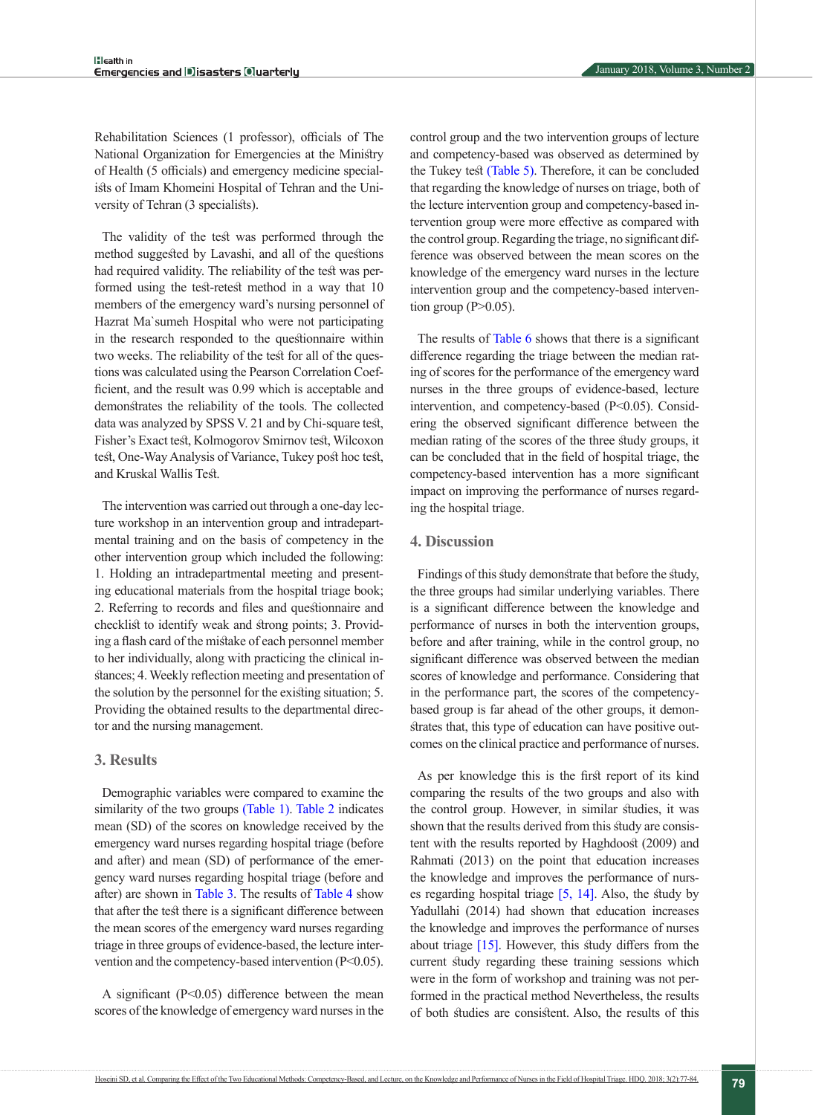Rehabilitation Sciences (1 professor), officials of The National Organization for Emergencies at the Ministry of Health (5 officials) and emergency medicine specialists of Imam Khomeini Hospital of Tehran and the University of Tehran (3 specialists).

The validity of the test was performed through the method suggested by Lavashi, and all of the questions had required validity. The reliability of the test was performed using the test-retest method in a way that 10 members of the emergency ward's nursing personnel of Hazrat Ma`sumeh Hospital who were not participating in the research responded to the questionnaire within two weeks. The reliability of the test for all of the questions was calculated using the Pearson Correlation Coefficient, and the result was 0.99 which is acceptable and demonstrates the reliability of the tools. The collected data was analyzed by SPSS V. 21 and by Chi-square test, Fisher's Exact test, Kolmogorov Smirnov test, Wilcoxon test, One-Way Analysis of Variance, Tukey post hoc test, and Kruskal Wallis Test.

The intervention was carried out through a one-day lecture workshop in an intervention group and intradepartmental training and on the basis of competency in the other intervention group which included the following: 1. Holding an intradepartmental meeting and presenting educational materials from the hospital triage book; 2. Referring to records and files and questionnaire and checklist to identify weak and strong points; 3. Providing a flash card of the mistake of each personnel member to her individually, along with practicing the clinical instances; 4. Weekly reflection meeting and presentation of the solution by the personnel for the existing situation; 5. Providing the obtained results to the departmental director and the nursing management.

#### **3. Results**

Demographic variables were compared to examine the similarity of the two groups [\(Table 1\)](#page-3-0). [Table 2](#page-3-1) indicates mean (SD) of the scores on knowledge received by the emergency ward nurses regarding hospital triage (before and after) and mean (SD) of performance of the emergency ward nurses regarding hospital triage (before and after) are shown in [Table 3](#page-4-0). The results of Table 4 show that after the test there is a significant difference between the mean scores of the emergency ward nurses regarding triage in three groups of evidence-based, the lecture intervention and the competency-based intervention (P<0.05).

A significant  $(P<0.05)$  difference between the mean scores of the knowledge of emergency ward nurses in the control group and the two intervention groups of lecture and competency-based was observed as determined by the Tukey test [\(Table 5\)](#page-4-1). Therefore, it can be concluded that regarding the knowledge of nurses on triage, both of the lecture intervention group and competency-based intervention group were more effective as compared with the control group. Regarding the triage, no significant difference was observed between the mean scores on the knowledge of the emergency ward nurses in the lecture intervention group and the competency-based intervention group ( $P>0.05$ ).

The results of [Table 6](#page-4-2) shows that there is a significant difference regarding the triage between the median rating of scores for the performance of the emergency ward nurses in the three groups of evidence-based, lecture intervention, and competency-based (P<0.05). Considering the observed significant difference between the median rating of the scores of the three study groups, it can be concluded that in the field of hospital triage, the competency-based intervention has a more significant impact on improving the performance of nurses regarding the hospital triage.

#### **4. Discussion**

Findings of this study demonstrate that before the study, the three groups had similar underlying variables. There is a significant difference between the knowledge and performance of nurses in both the intervention groups, before and after training, while in the control group, no significant difference was observed between the median scores of knowledge and performance. Considering that in the performance part, the scores of the competencybased group is far ahead of the other groups, it demonstrates that, this type of education can have positive outcomes on the clinical practice and performance of nurses.

As per knowledge this is the first report of its kind comparing the results of the two groups and also with the control group. However, in similar studies, it was shown that the results derived from this study are consistent with the results reported by Haghdoost (2009) and Rahmati (2013) on the point that education increases the knowledge and improves the performance of nurses regarding hospital triage  $[5, 14]$  $[5, 14]$ . Also, the study by Yadullahi (2014) had shown that education increases the knowledge and improves the performance of nurses about triage [\[15\].](#page-6-6) However, this study differs from the current study regarding these training sessions which were in the form of workshop and training was not performed in the practical method Nevertheless, the results of both studies are consistent. Also, the results of this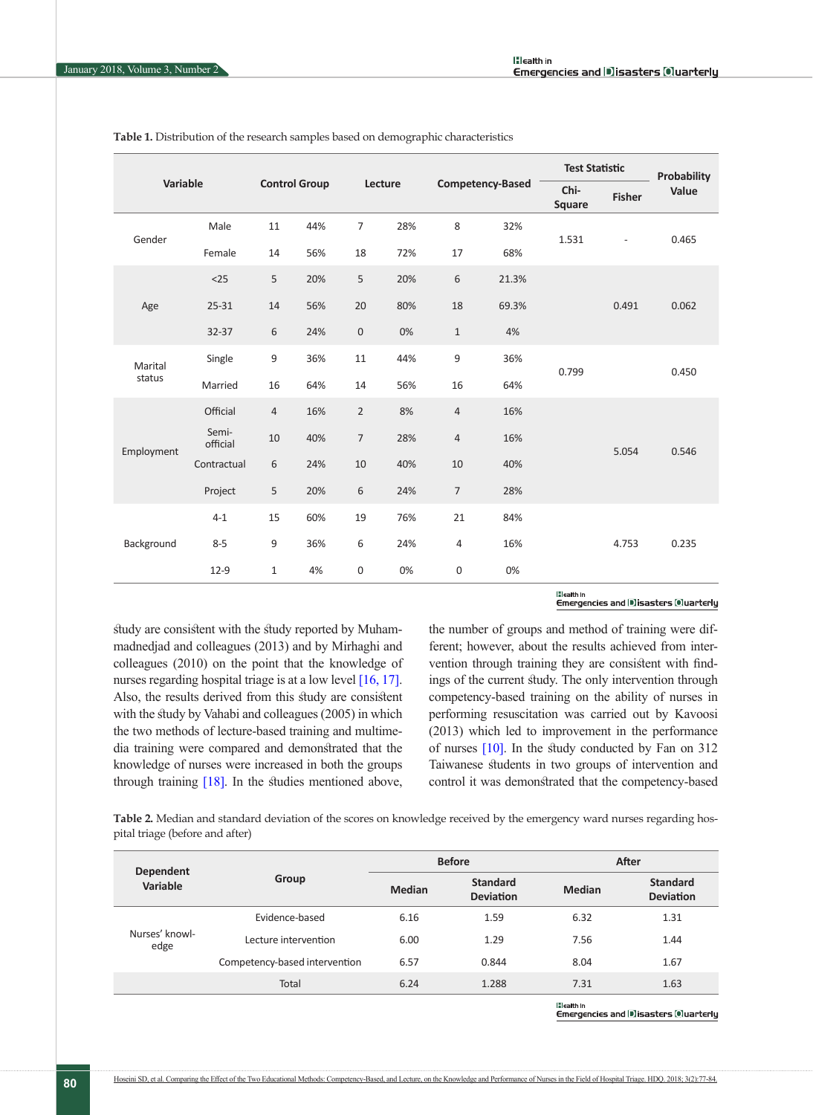| Variable   |                   |                                 |     |                     |                         |                |                       | <b>Test Statistic</b> |                          | Probability |
|------------|-------------------|---------------------------------|-----|---------------------|-------------------------|----------------|-----------------------|-----------------------|--------------------------|-------------|
|            |                   | <b>Control Group</b><br>Lecture |     |                     | <b>Competency-Based</b> |                | Chi-<br><b>Square</b> | <b>Fisher</b>         | Value                    |             |
|            | Male              | 11                              | 44% | $\overline{7}$      | 28%                     | 8              | 32%                   |                       |                          | 0.465       |
| Gender     | Female            | 14                              | 56% | 18                  | 72%                     | 17             | 68%                   | 1.531                 | $\overline{\phantom{a}}$ |             |
|            | $25$              | 5                               | 20% | 5                   | 20%                     | 6              | 21.3%                 |                       |                          |             |
| Age        | 25-31             | 14                              | 56% | 20                  | 80%                     | 18             | 69.3%                 |                       | 0.491                    | 0.062       |
|            | 32-37             | 6                               | 24% | $\mathsf{O}\xspace$ | 0%                      | $\mathbf{1}$   | 4%                    |                       |                          |             |
| Marital    | Single            | 9                               | 36% | 11                  | 44%                     | 9              | 36%                   | 0.799                 |                          | 0.450       |
| status     | Married           | 16                              | 64% | 14                  | 56%                     | 16             | 64%                   |                       |                          |             |
|            | Official          | $\overline{4}$                  | 16% | $\overline{2}$      | 8%                      | $\overline{4}$ | 16%                   |                       |                          |             |
|            | Semi-<br>official | 10                              | 40% | $\overline{7}$      | 28%                     | $\overline{4}$ | 16%                   |                       | 5.054                    | 0.546       |
| Employment | Contractual       | 6                               | 24% | 10                  | 40%                     | 10             | 40%                   |                       |                          |             |
|            | Project           | 5                               | 20% | 6                   | 24%                     | $\overline{7}$ | 28%                   |                       |                          |             |
| Background | $4 - 1$           | 15                              | 60% | 19                  | 76%                     | 21             | 84%                   |                       |                          |             |
|            | $8 - 5$           | 9                               | 36% | 6                   | 24%                     | 4              | 16%                   |                       | 4.753                    | 0.235       |
|            | $12-9$            | 1                               | 4%  | $\mathbf 0$         | 0%                      | 0              | 0%                    |                       |                          |             |

<span id="page-3-0"></span>**Table 1.** Distribution of the research samples based on demographic characteristics

#### **H**ealth in Emergencies and DIsasters Oluarterly

study are consistent with the study reported by Muhammadnedjad and colleagues (2013) and by Mirhaghi and colleagues (2010) on the point that the knowledge of nurses regarding hospital triage is at a low level [16, [17\]](#page-6-7). Also, the results derived from this study are consistent with the study by Vahabi and colleagues (2005) in which the two methods of lecture-based training and multimedia training were compared and demonstrated that the knowledge of nurses were increased in both the groups through training [\[18\]](#page-6-8). In the studies mentioned above, the number of groups and method of training were different; however, about the results achieved from intervention through training they are consistent with findings of the current study. The only intervention through competency-based training on the ability of nurses in performing resuscitation was carried out by Kavoosi (2013) which led to improvement in the performance of nurses [\[10\].](#page-6-1) In the study conducted by Fan on 312 Taiwanese students in two groups of intervention and control it was demonstrated that the competency-based

<span id="page-3-1"></span>**Table 2.** Median and standard deviation of the scores on knowledge received by the emergency ward nurses regarding hospital triage (before and after)

| <b>Dependent</b>       |                               |               | <b>Before</b>                       | After             |                                     |  |  |  |
|------------------------|-------------------------------|---------------|-------------------------------------|-------------------|-------------------------------------|--|--|--|
| Variable               | Group                         | <b>Median</b> | <b>Standard</b><br><b>Deviation</b> | <b>Median</b>     | <b>Standard</b><br><b>Deviation</b> |  |  |  |
| Nurses' knowl-<br>edge | Evidence-based                | 6.16          | 1.59                                | 6.32              | 1.31                                |  |  |  |
|                        | Lecture intervention          | 6.00          | 1.29                                | 7.56              | 1.44                                |  |  |  |
|                        | Competency-based intervention | 6.57          | 0.844                               | 8.04              | 1.67                                |  |  |  |
|                        | Total                         | 6.24          | 1.288                               | 7.31              | 1.63                                |  |  |  |
|                        |                               |               |                                     | <b>H</b> ealth In |                                     |  |  |  |

Emergencies and Disasters Ouarterly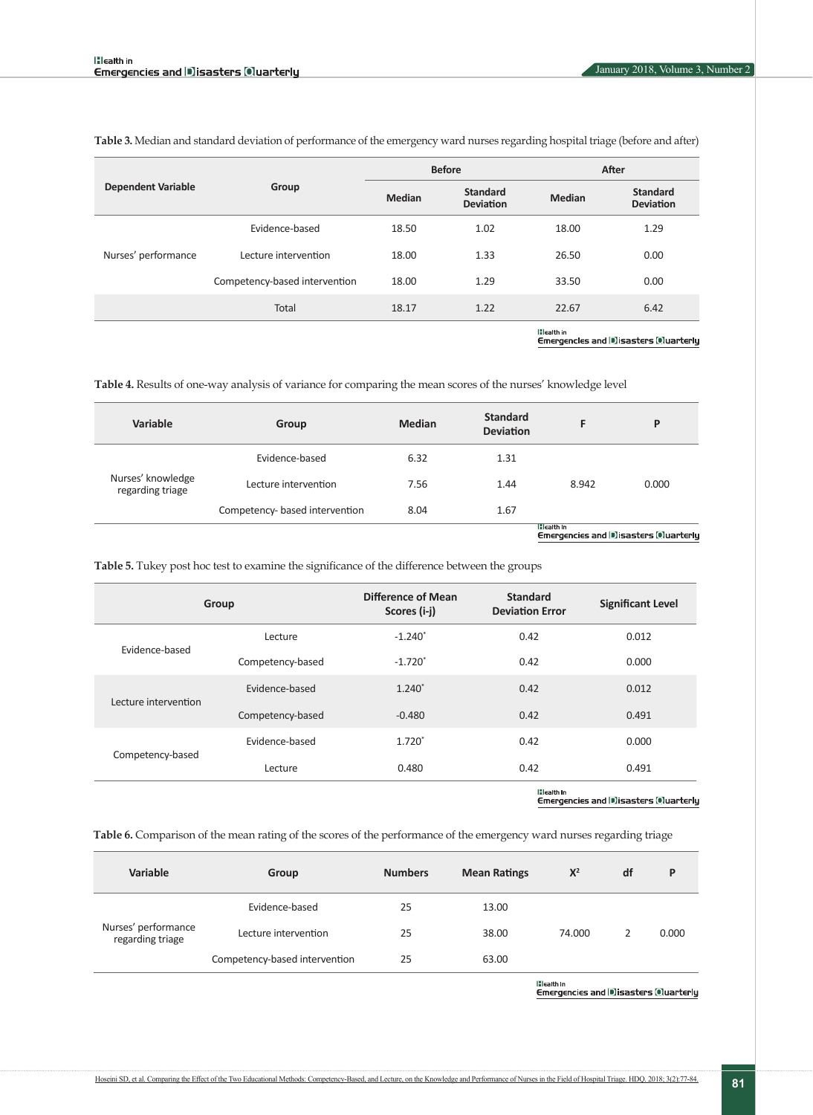|                           |                               |               | <b>Before</b>                       | After               |                                     |  |
|---------------------------|-------------------------------|---------------|-------------------------------------|---------------------|-------------------------------------|--|
| <b>Dependent Variable</b> | Group                         | <b>Median</b> | <b>Standard</b><br><b>Deviation</b> | <b>Median</b>       | <b>Standard</b><br><b>Deviation</b> |  |
|                           | Evidence-based                | 18.50         | 1.02                                | 18.00               | 1.29                                |  |
| Nurses' performance       | Lecture intervention          | 18.00         | 1.33                                | 26.50               | 0.00                                |  |
|                           | Competency-based intervention | 18.00         | 1.29                                | 33.50               | 0.00                                |  |
|                           | Total                         | 18.17         | 1.22                                | 22.67               | 6.42                                |  |
|                           |                               |               |                                     | <b>If Leatth In</b> |                                     |  |

<span id="page-4-0"></span>**Table 3.** Median and standard deviation of performance of the emergency ward nurses regarding hospital triage (before and after)

Emergencles and Disasters Ouarterly

**Table 4.** Results of one-way analysis of variance for comparing the mean scores of the nurses' knowledge level

| Variable                              | Group                          | <b>Median</b> | <b>Standard</b><br><b>Deviation</b> |       | P     |
|---------------------------------------|--------------------------------|---------------|-------------------------------------|-------|-------|
| Nurses' knowledge<br>regarding triage | Evidence-based                 | 6.32          | 1.31                                |       |       |
|                                       | Lecture intervention           | 7.56          | 1.44                                | 8.942 | 0.000 |
|                                       | Competency- based intervention | 8.04          | 1.67<br>$\cdots$                    |       |       |

<span id="page-4-1"></span>**Table 5.** Tukey post hoc test to examine the significance of the difference between the groups

| Group                |                  | Difference of Mean<br>Scores (i-j) | <b>Standard</b><br><b>Deviation Error</b> | <b>Significant Level</b> |  |
|----------------------|------------------|------------------------------------|-------------------------------------------|--------------------------|--|
|                      | Lecture          | $-1.240$ <sup>*</sup>              | 0.42                                      | 0.012                    |  |
| Evidence-based       | Competency-based | $-1.720$ <sup>*</sup>              | 0.42                                      | 0.000                    |  |
|                      | Evidence-based   | $1.240*$                           | 0.42                                      | 0.012                    |  |
| Lecture intervention | Competency-based | $-0.480$                           | 0.42                                      | 0.491                    |  |
|                      | Evidence-based   | $1.720*$                           | 0.42                                      | 0.000                    |  |
| Competency-based     | Lecture          | 0.480                              | 0.42                                      | 0.491                    |  |
|                      |                  |                                    | <b>The Location Inc.</b>                  |                          |  |

|:leatth in<br>Emergencies and |#]isasters @luarterly

<span id="page-4-2"></span>**Table 6.** Comparison of the mean rating of the scores of the performance of the emergency ward nurses regarding triage

| Variable                                | Group                         | <b>Numbers</b> | <b>Mean Ratings</b> | $X^2$  | df | P     |
|-----------------------------------------|-------------------------------|----------------|---------------------|--------|----|-------|
| Nurses' performance<br>regarding triage | Evidence-based                | 25             | 13.00               | 74.000 |    | 0.000 |
|                                         | Lecture intervention          | 25             | 38.00               |        |    |       |
|                                         | Competency-based intervention | 25             | 63.00               |        |    |       |

lilealth in<br>Emergencies and Disasters (Quarterly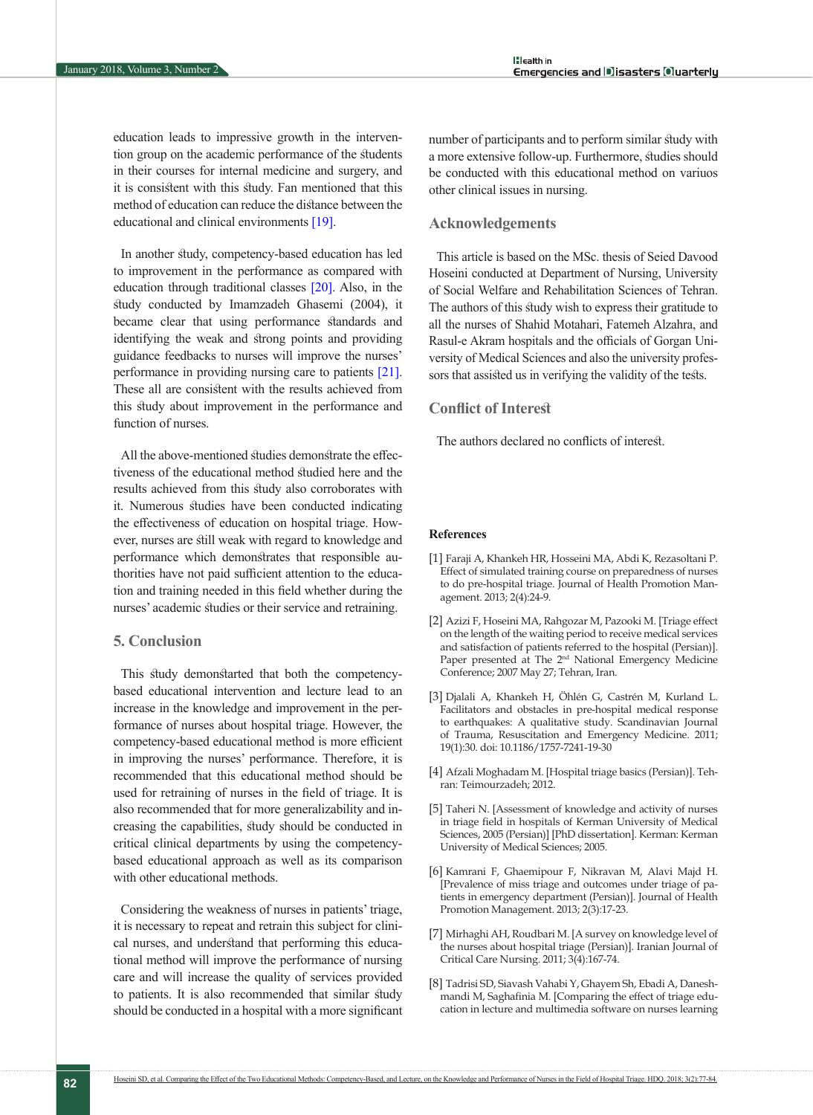education leads to impressive growth in the intervention group on the academic performance of the students in their courses for internal medicine and surgery, and it is consistent with this study. Fan mentioned that this method of education can reduce the distance between the educational and clinical environments [\[19\].](#page-6-9)

In another study, competency-based education has led to improvement in the performance as compared with education through traditional classes [\[20\]](#page-6-10). Also, in the study conducted by Imamzadeh Ghasemi (2004), it became clear that using performance standards and identifying the weak and strong points and providing guidance feedbacks to nurses will improve the nurses' performance in providing nursing care to patients [21]. These all are consistent with the results achieved from this study about improvement in the performance and function of nurses.

All the above-mentioned studies demonstrate the effectiveness of the educational method studied here and the results achieved from this study also corroborates with it. Numerous studies have been conducted indicating the effectiveness of education on hospital triage. However, nurses are still weak with regard to knowledge and performance which demonstrates that responsible authorities have not paid sufficient attention to the education and training needed in this field whether during the nurses' academic studies or their service and retraining.

## **5. Conclusion**

This study demonstarted that both the competencybased educational intervention and lecture lead to an increase in the knowledge and improvement in the performance of nurses about hospital triage. However, the competency-based educational method is more efficient in improving the nurses' performance. Therefore, it is recommended that this educational method should be used for retraining of nurses in the field of triage. It is also recommended that for more generalizability and increasing the capabilities, study should be conducted in critical clinical departments by using the competencybased educational approach as well as its comparison with other educational methods.

Considering the weakness of nurses in patients' triage, it is necessary to repeat and retrain this subject for clinical nurses, and understand that performing this educational method will improve the performance of nursing care and will increase the quality of services provided to patients. It is also recommended that similar study should be conducted in a hospital with a more significant number of participants and to perform similar study with a more extensive follow-up. Furthermore, studies should be conducted with this educational method on variuos other clinical issues in nursing.

### **Acknowledgements**

This article is based on the MSc. thesis of Seied Davood Hoseini conducted at Department of Nursing, University of Social Welfare and Rehabilitation Sciences of Tehran. The authors of this study wish to express their gratitude to all the nurses of Shahid Motahari, Fatemeh Alzahra, and Rasul-e Akram hospitals and the officials of Gorgan University of Medical Sciences and also the university professors that assisted us in verifying the validity of the tests.

#### **Conflict of Interest**

The authors declared no conflicts of interest.

#### **References**

- <span id="page-5-0"></span>[1] Faraji A, Khankeh HR, Hosseini MA, Abdi K, Rezasoltani P. Effect of simulated training course on preparedness of nurses to do pre-hospital triage. Journal of Health Promotion Management. 2013; 2(4):24-9.
- <span id="page-5-1"></span>[2] Azizi F, Hoseini MA, Rahgozar M, Pazooki M. [Triage effect on the length of the waiting period to receive medical services and satisfaction of patients referred to the hospital (Persian)]. Paper presented at The 2<sup>nd</sup> National Emergency Medicine Conference; 2007 May 27; Tehran, Iran.
- [3] Djalali A, Khankeh H, Öhlén G, Castrén M, Kurland L. Facilitators and obstacles in pre-hospital medical response to earthquakes: A qualitative study. Scandinavian Journal of Trauma, Resuscitation and Emergency Medicine. 2011; 19(1):30. doi: 10.1186/1757-7241-19-30
- <span id="page-5-2"></span>[4] Afzali Moghadam M. [Hospital triage basics (Persian)]. Tehran: Teimourzadeh; 2012.
- <span id="page-5-3"></span>[5] Taheri N. [Assessment of knowledge and activity of nurses in triage field in hospitals of Kerman University of Medical Sciences, 2005 (Persian)] [PhD dissertation]. Kerman: Kerman University of Medical Sciences; 2005.
- [6] Kamrani F, Ghaemipour F, Nikravan M, Alavi Majd H. [Prevalence of miss triage and outcomes under triage of patients in emergency department (Persian)]. Journal of Health Promotion Management. 2013; 2(3):17-23.
- [7] Mirhaghi AH, Roudbari M. [A survey on knowledge level of the nurses about hospital triage (Persian)]. Iranian Journal of Critical Care Nursing. 2011; 3(4):167-74.
- <span id="page-5-4"></span>[8] Tadrisi SD, Siavash Vahabi Y, Ghayem Sh, Ebadi A, Daneshmandi M, Saghafinia M. [Comparing the effect of triage education in lecture and multimedia software on nurses learning